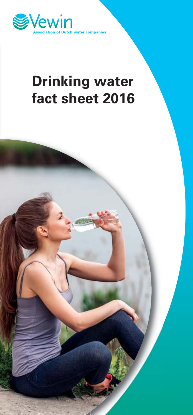

# **Drinking water**

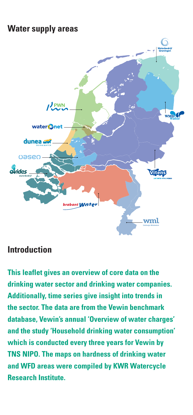## **Water supply areas**



## **Introduction**

**This leaflet gives an overview of core data on the drinking water sector and drinking water companies. Additionally, time series give insight into trends in the sector. The data are from the Vewin benchmark database, Vewin's annual 'Overview of water charges' and the study 'Household drinking water consumption' which is conducted every three years for Vewin by TNS NIPO. The maps on hardness of drinking water and WFD areas were compiled by KWR Watercycle Research Institute.**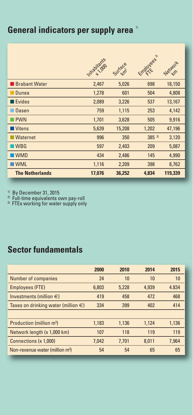# **General indicators per supply area**  $^{\circ}$

|                        | Imabiadas | Sufface | mp/ovess. | Network |
|------------------------|-----------|---------|-----------|---------|
| <b>Brabant Water</b>   | 2,467     | 5,026   | 698       | 18,150  |
| Dunea                  | 1,278     | 601     | 504       | 4,808   |
| Evides                 | 2,089     | 3,226   | 537       | 13,167  |
| <b>Oasen</b>           | 759       | 1,115   | 253       | 4,142   |
| <b>PWN</b>             | 1,701     | 3,628   | 505       | 9,916   |
| ■ Vitens               | 5,639     | 15,208  | 1,202     | 47,196  |
| Waternet               | 996       | 350     | 385 3)    | 3,120   |
| $\n $ WBG              | 597       | 2,403   | 209       | 5,087   |
| <b>WMD</b>             | 434       | 2,486   | 145       | 4,990   |
| $\blacksquare$ WML     | 1,116     | 2,209   | 398       | 8,762   |
| <b>The Netherlands</b> | 17,076    | 36,252  | 4,834     | 119,339 |

<sup>1)</sup> By December 31, 2015<br><sup>2)</sup> Full-time equivalents own pay-roll<br><sup>3)</sup> FTEs working for water supply only

# **Sector fundamentals**

|                                             | 2000  | 2010  | 2014  | 2015  |
|---------------------------------------------|-------|-------|-------|-------|
| Number of companies                         | 24    | 10    | 10    | 10    |
| <b>Employees (FTE)</b>                      | 6,803 | 5.228 | 4.939 | 4.834 |
| Investments (million $\in$ )                | 419   | 458   | 472   | 468   |
| Taxes on drinking water (million $\in$ )    | 334   | 399   | 402   | 414   |
|                                             |       |       |       |       |
| Production (million m <sup>3</sup> )        | 1,183 | 1.136 | 1.124 | 1,136 |
| Network length (x 1,000 km)                 | 107   | 118   | 119   | 119   |
| Connections (x 1.000)                       | 7.042 | 7.701 | 8.011 | 7.964 |
| Non-revenue water (million m <sup>3</sup> ) | 54    | 54    | 65    | 65    |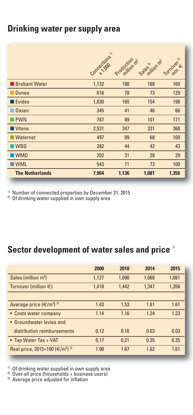#### **Drinking water per supply area**

|                        | Competions | Production n2 | Sales-livening | Turnover & |
|------------------------|------------|---------------|----------------|------------|
| <b>Brabant Water</b>   | 1,132      | 180           | 168            | 160        |
| Dunea                  | 616        | 78            | 73             | 129        |
| Evides                 | 1,030      | 165           | 154            | 198        |
| <b>Oasen</b>           | 345        | 41            | 46             | 66         |
| <b>PWN</b>             | 787        | 89            | 101            | 171        |
| Vitens                 | 2,531      | 347           | 331            | 360        |
| Waternet               | 497        | 89            | 68             | 100        |
| $\n $ WBG              | 282        | 44            | 42             | 43         |
| <b>WMD</b>             | 202        | 31            | 28             | 29         |
| <b>WML</b>             | 543        | 71            | 72             | 100        |
| <b>The Netherlands</b> | 7,964      | 1,136         | 1,081          | 1,356      |

<sup>1)</sup> Number of connected properties by December 31, 2015 <sup>2)</sup> Of drinking water supplied in own supply area

# **Sector development of water sales and price** 1)

|                                                        | 2000  | 2010  | 2014  | 2015  |
|--------------------------------------------------------|-------|-------|-------|-------|
| Sales (million m <sup>3</sup> )                        | 1,127 | 1.090 | 1.068 | 1.081 |
| Turnover (million $\in$ )                              | 1,418 | 1,442 | 1.347 | 1,356 |
|                                                        |       |       |       |       |
| Average price $(\infty/m^3)$ 2)                        | 1.43  | 1.53  | 1.61  | 1.61  |
| • Costs water company                                  | 1.14  | 1.16  | 1.24  | 1.23  |
| • Groundwater levies and                               |       |       |       |       |
| distribution reimbursements                            | 0.12  | 0.16  | 0.03  | 0.03  |
| • Tap Water Tax + VAT                                  | 0.17  | 0.21  | 0.35  | 0.35  |
| Real price, 2015=100 (€/m <sup>3</sup> ) <sup>3)</sup> | 1.90  | 167   | 1.62  | 1.61  |

<sup>1)</sup> Of drinking water supplied in own supply area <sup>2)</sup> Over-all price (households + business users)<br><sup>3)</sup> Average price adjusted for inflation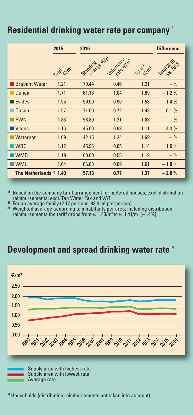#### **Residential drinking water rate per company**

|                           | 2015      | 2016           |             |           | <b>Difference</b> |
|---------------------------|-----------|----------------|-------------|-----------|-------------------|
|                           | Total Elm | Standing of KY | Voumericin? | Total In2 | Total 2016 ts     |
| <b>Brabant Water</b>      | 1.21      | 70.44          | 0.46        | 1.21      | $-$ %             |
| Dunea                     | 1.71      | 61.18          | 1.04        | 1.69      | $-1.2%$           |
| Evides                    | 1.55      | 59.00          | 0.90        | 1.53      | $-1.4%$           |
| <b>Oasen</b>              | 1.57      | 71.00          | 0.72        | 1.48      | $-6.1%$           |
| $\blacksquare$ PWN        | 1.83      | 58.80          | 1.21        | 1.83      | $-$ %             |
| Vitens                    | 1.16      | 45.00          | 0.63        | 1.11      | $-4.3%$           |
| <b>Waternet</b>           | 1.69      | 42.15          | 1.24        | 1.69      | $-$ %             |
| $\n $ WBG                 | 1.12      | 45.96          | 0.65        | 1.14      | 1.0%              |
| <b>WMD</b>                | 1.19      | 60.00          | 0.55        | 1.19      | $-$ %             |
| <b>WML</b>                | 1.64      | 86.68          | 0.69        | 1.61      | $-1.8%$           |
| The Netherlands $3)$ 1.40 |           | 57.13          | 0.77        | 1.37      | $-2.0%$           |

 $10$  Based on the company tariff arrangement for metered houses; excl. distribution reimbursements; excl. Tap Water Tax and VAT

<sup>2</sup> For an average family (2.17 persons, 43.4 m<sup>3</sup> per person)<br><sup>3)</sup> Weighted average according to inhabitants per area; including distribution reimbursements the tariff drops from  $\in 1.43/m^3$  to  $\in 1.41/m^3$  (-1.4%)

#### **Development and spread drinking water rate** 1)



1) Households (distribution reimbursements not taken into account)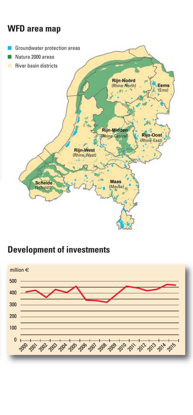# **WFD area map**



## **Development of investments**

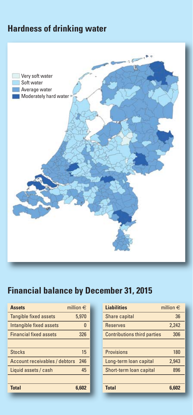## **Hardness of drinking water**



# **Financial balance by December 31, 2015**

| million $\in$<br><b>Assets</b>        |          | <b>Liabilities</b>                 | million $\in$ |
|---------------------------------------|----------|------------------------------------|---------------|
| <b>Tangible fixed assets</b><br>5.970 |          | Share capital                      | 36            |
| Intangible fixed assets               | $\Omega$ | <b>Reserves</b>                    | 2,242         |
| <b>Financial fixed assets</b><br>326  |          | <b>Contributions third parties</b> | 306           |
|                                       |          |                                    |               |
| <b>Stocks</b><br>15                   |          | Provisions                         | 180           |
| Account receivables / debtors<br>246  |          | Long-term loan capital             | 2.943         |
| Liquid assets / cash<br>45            |          | Short-term loan capital            | 896           |
|                                       |          |                                    |               |
| <b>Total</b><br>6.602                 |          | <b>Total</b>                       | 6.602         |
|                                       |          |                                    |               |

| <b>Liabilities</b>                 | million $\in$ |
|------------------------------------|---------------|
| Share capital                      | 36            |
| <b>Reserves</b>                    | 2,242         |
| <b>Contributions third parties</b> | 306           |
|                                    |               |
| Provisions                         | 180           |
| Long-term loan capital             | 2.943         |
| Short-term loan capital            | 896           |
|                                    |               |
| <b>Total</b>                       | 6.602         |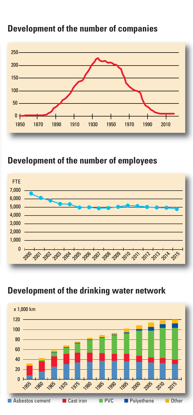

#### **Development of the number of companies**

#### **Development of the number of employees**



#### **Development of the drinking water network**

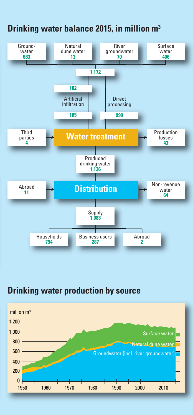

## **Drinking water balance 2015, in million m3**

#### **Drinking water production by source**